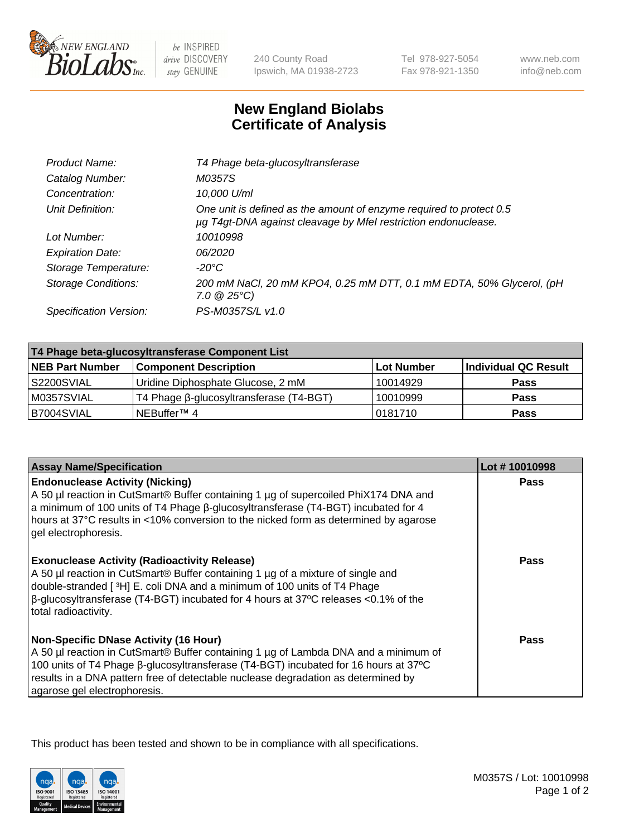

 $be$  INSPIRED drive DISCOVERY stay GENUINE

240 County Road Ipswich, MA 01938-2723

Tel 978-927-5054 Fax 978-921-1350 www.neb.com info@neb.com

## **New England Biolabs Certificate of Analysis**

| Product Name:              | T4 Phage beta-glucosyltransferase                                                                                                     |
|----------------------------|---------------------------------------------------------------------------------------------------------------------------------------|
| Catalog Number:            | M0357S                                                                                                                                |
| Concentration:             | 10,000 U/ml                                                                                                                           |
| Unit Definition:           | One unit is defined as the amount of enzyme required to protect 0.5<br>µg T4gt-DNA against cleavage by Mfel restriction endonuclease. |
| Lot Number:                | 10010998                                                                                                                              |
| <b>Expiration Date:</b>    | 06/2020                                                                                                                               |
| Storage Temperature:       | -20°C                                                                                                                                 |
| <b>Storage Conditions:</b> | 200 mM NaCl, 20 mM KPO4, 0.25 mM DTT, 0.1 mM EDTA, 50% Glycerol, (pH<br>$7.0 \ @ 25^{\circ}C$                                         |
| Specification Version:     | PS-M0357S/L v1.0                                                                                                                      |

| T4 Phage beta-glucosyltransferase Component List |                                         |            |                      |  |
|--------------------------------------------------|-----------------------------------------|------------|----------------------|--|
| <b>NEB Part Number</b>                           | <b>Component Description</b>            | Lot Number | Individual QC Result |  |
| S2200SVIAL                                       | Uridine Diphosphate Glucose, 2 mM       | 10014929   | <b>Pass</b>          |  |
| M0357SVIAL                                       | T4 Phage β-glucosyltransferase (T4-BGT) | 10010999   | <b>Pass</b>          |  |
| B7004SVIAL                                       | 'NEBuffer™ 4                            | 10181710   | <b>Pass</b>          |  |

| <b>Assay Name/Specification</b>                                                                                                                                                                                                                                                                                                                     | Lot #10010998 |
|-----------------------------------------------------------------------------------------------------------------------------------------------------------------------------------------------------------------------------------------------------------------------------------------------------------------------------------------------------|---------------|
| <b>Endonuclease Activity (Nicking)</b><br>A 50 µl reaction in CutSmart® Buffer containing 1 µg of supercoiled PhiX174 DNA and<br>a minimum of 100 units of T4 Phage B-glucosyltransferase (T4-BGT) incubated for 4<br>hours at 37°C results in <10% conversion to the nicked form as determined by agarose<br>gel electrophoresis.                  | <b>Pass</b>   |
| <b>Exonuclease Activity (Radioactivity Release)</b><br>A 50 µl reaction in CutSmart® Buffer containing 1 µg of a mixture of single and<br>double-stranded [ <sup>3</sup> H] E. coli DNA and a minimum of 100 units of T4 Phage<br>$\beta$ -glucosyltransferase (T4-BGT) incubated for 4 hours at 37°C releases <0.1% of the<br>total radioactivity. | Pass          |
| <b>Non-Specific DNase Activity (16 Hour)</b><br>A 50 µl reaction in CutSmart® Buffer containing 1 µg of Lambda DNA and a minimum of<br>100 units of T4 Phage β-glucosyltransferase (T4-BGT) incubated for 16 hours at 37°C<br>results in a DNA pattern free of detectable nuclease degradation as determined by<br>agarose gel electrophoresis.     | Pass          |

This product has been tested and shown to be in compliance with all specifications.